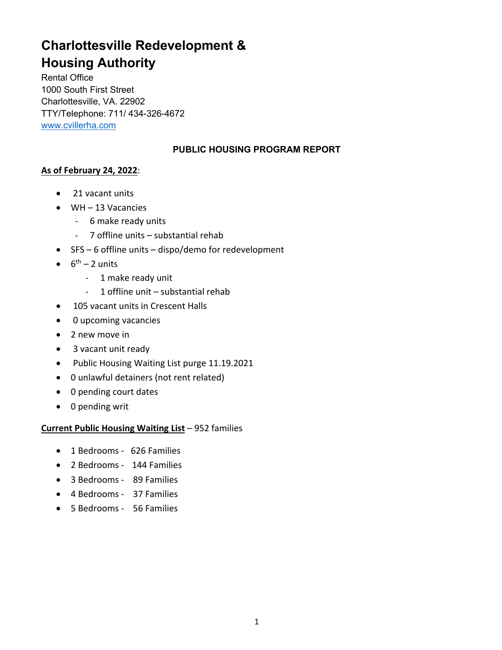# **Charlottesville Redevelopment & Housing Authority**

Rental Office 1000 South First Street Charlottesville, VA. 22902 TTY/Telephone: 711/ 434-326-4672 www.cvillerha.com

# **PUBLIC HOUSING PROGRAM REPORT**

# **As of February 24, 2022**:

- 21 vacant units
- WH 13 Vacancies
	- 6 make ready units
	- 7 offline units substantial rehab
- SFS 6 offline units dispo/demo for redevelopment
- $\bullet$  6<sup>th</sup> 2 units
	- 1 make ready unit
	- 1 offline unit substantial rehab
- 105 vacant units in Crescent Halls
- 0 upcoming vacancies
- 2 new move in
- 3 vacant unit ready
- Public Housing Waiting List purge 11.19.2021
- 0 unlawful detainers (not rent related)
- 0 pending court dates
- 0 pending writ

# **Current Public Housing Waiting List** – 952 families

- 1 Bedrooms 626 Families
- 2 Bedrooms 144 Families
- 3 Bedrooms 89 Families
- 4 Bedrooms 37 Families
- 5 Bedrooms 56 Families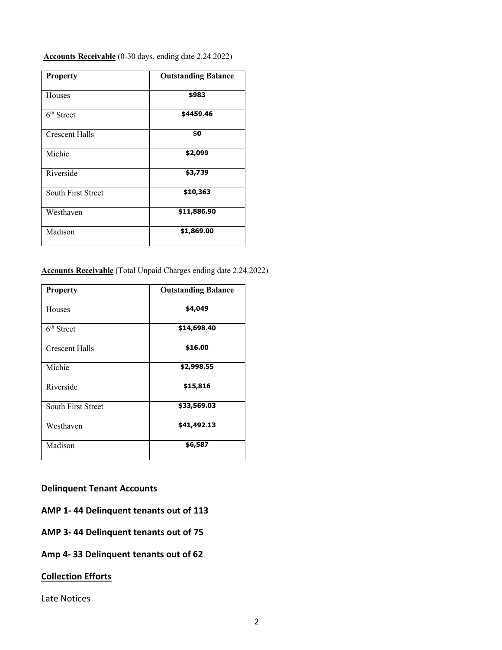**Accounts Receivable** (0-30 days, ending date 2.24.2022)

| <b>Property</b>        | <b>Outstanding Balance</b> |
|------------------------|----------------------------|
| Houses                 | \$983                      |
| 6 <sup>th</sup> Street | \$4459.46                  |
| <b>Crescent Halls</b>  | \$0                        |
| Michie                 | \$2,099                    |
| Riverside              | \$3,739                    |
| South First Street     | \$10,363                   |
| Westhaven              | \$11,886.90                |
| Madison                | \$1,869.00                 |

## **Accounts Receivable** (Total Unpaid Charges ending date 2.24.2022)

| <b>Property</b>        | <b>Outstanding Balance</b> |
|------------------------|----------------------------|
| Houses                 | \$4,049                    |
| 6 <sup>th</sup> Street | \$14,698.40                |
| Crescent Halls         | \$16.00                    |
| Michie                 | \$2,998.55                 |
| Riverside              | \$15,816                   |
| South First Street     | \$33,569.03                |
| Westhaven              | \$41,492.13                |
| Madison                | \$6,587                    |

# **Delinquent Tenant Accounts**

## **AMP 1- 44 Delinquent tenants out of 113**

**AMP 3- 44 Delinquent tenants out of 75**

# **Amp 4- 33 Delinquent tenants out of 62**

#### **Collection Efforts**

Late Notices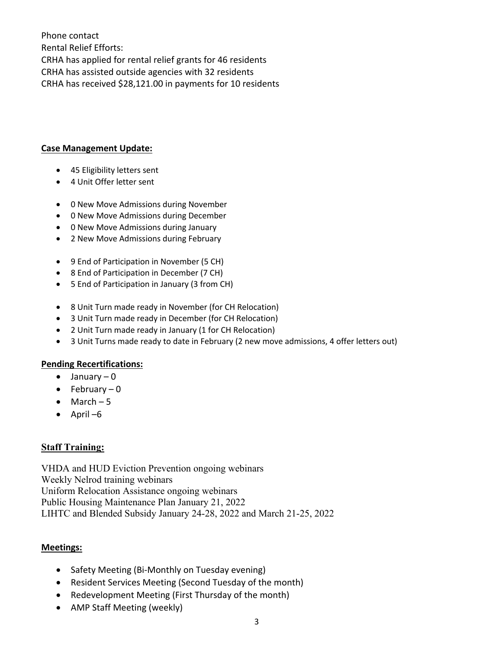Phone contact Rental Relief Efforts: CRHA has applied for rental relief grants for 46 residents CRHA has assisted outside agencies with 32 residents CRHA has received \$28,121.00 in payments for 10 residents

## **Case Management Update:**

- 45 Eligibility letters sent
- 4 Unit Offer letter sent
- 0 New Move Admissions during November
- 0 New Move Admissions during December
- 0 New Move Admissions during January
- 2 New Move Admissions during February
- 9 End of Participation in November (5 CH)
- 8 End of Participation in December (7 CH)
- 5 End of Participation in January (3 from CH)
- 8 Unit Turn made ready in November (for CH Relocation)
- 3 Unit Turn made ready in December (for CH Relocation)
- 2 Unit Turn made ready in January (1 for CH Relocation)
- 3 Unit Turns made ready to date in February (2 new move admissions, 4 offer letters out)

## **Pending Recertifications:**

- $\bullet$  January 0
- $\bullet$  February  $-0$
- $•$  March  $-5$
- April –6

# **Staff Training:**

VHDA and HUD Eviction Prevention ongoing webinars Weekly Nelrod training webinars Uniform Relocation Assistance ongoing webinars Public Housing Maintenance Plan January 21, 2022 LIHTC and Blended Subsidy January 24-28, 2022 and March 21-25, 2022

## **Meetings:**

- Safety Meeting (Bi-Monthly on Tuesday evening)
- Resident Services Meeting (Second Tuesday of the month)
- Redevelopment Meeting (First Thursday of the month)
- AMP Staff Meeting (weekly)